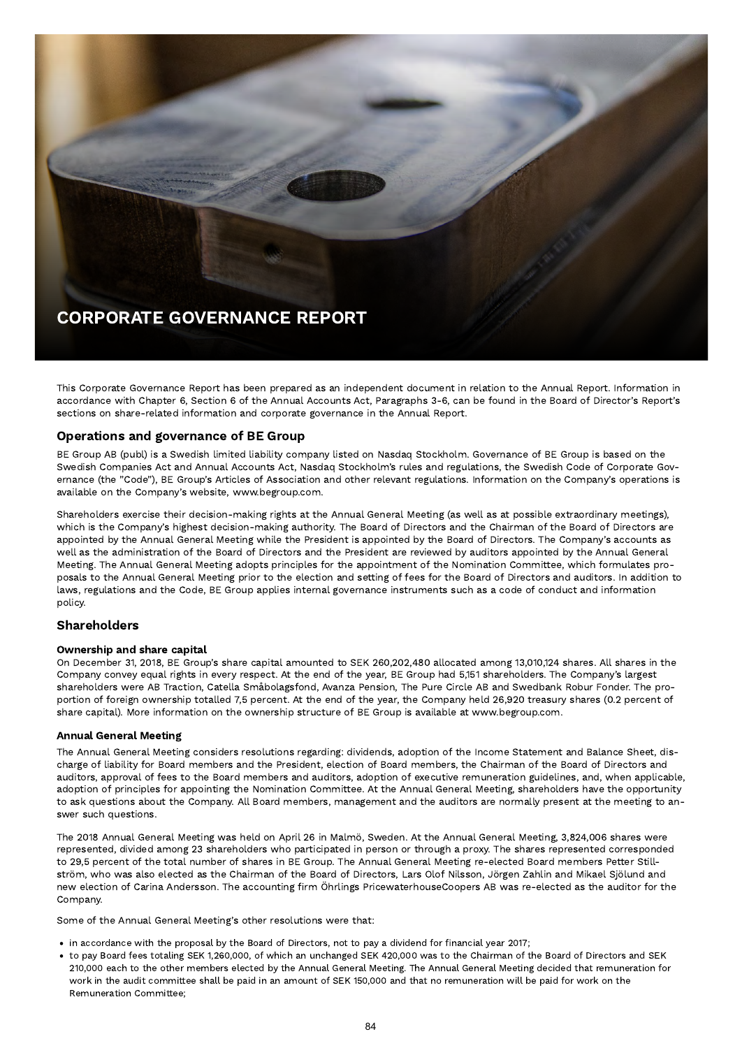

This Corporate Governance Report has been prepared as an independent document in relation to the Annual Report. Information in accordance with Chapter 6, Section 6 of the Annual Accounts Act, Paragraphs 3-6, can be found in the Board of Director's Report's sections on share-related information and corporate governance in the Annual Report.

# Operations and governance of BE Group

BE Group AB (publ) is a Swedish limited liability company listed on Nasdaq Stockholm. Governance of BE Group is based on the Swedish Companies Act and Annual Accounts Act, Nasdaq Stockholm's rules and regulations, the Swedish Code of Corporate Governance (the "Code"), BE Group's Articles of Association and other relevant regulations. Information on the Company's operations is available on the Company's website, www.begroup.com.

Shareholders exercise their decision-making rights at the Annual General Meeting (as well as at possible extraordinary meetings), which is the Company's highest decision-making authority. The Board of Directors and the Chairman of the Board of Directors are appointed by the Annual General Meeting while the President is appointed by the Board of Directors. The Company's accounts as well as the administration of the Board of Directors and the President are reviewed by auditors appointed by the Annual General Meeting. The Annual General Meeting adopts principles for the appointment of the Nomination Committee, which formulates proposals to the Annual General Meeting prior to the election and setting of fees for the Board of Directors and auditors. In addition to laws, regulations and the Code, BE Group applies internal governance instruments such as a code of conduct and information policy.

# Shareholders

#### Ownership and share capital

On December 31, 2018, BE Group's share capital amounted to SEK 260,202,480 allocated among 13,010,124 shares. All shares in the Company convey equal rights in every respect. At the end of the year, BE Group had 5,151 shareholders. The Company's largest shareholders were AB Traction, Catella Småbolagsfond, Avanza Pension, The Pure Circle AB and Swedbank Robur Fonder. The proportion of foreign ownership totalled 7,5 percent. At the end of the year, the Company held 26,920 treasury shares (0.2 percent of share capital). More information on the ownership structure of BE Group is available at www.begroup.com.

#### Annual General Meeting

The Annual General Meeting considers resolutions regarding: dividends, adoption of the Income Statement and Balance Sheet, discharge of liability for Board members and the President, election of Board members, the Chairman of the Board of Directors and auditors, approval of fees to the Board members and auditors, adoption of executive remuneration guidelines, and, when applicable, adoption of principles for appointing the Nomination Committee. At the Annual General Meeting, shareholders have the opportunity to ask questions about the Company. All Board members, management and the auditors are normally present at the meeting to answer such questions.

The 2018 Annual General Meeting was held on April 26 in Malmö, Sweden. At the Annual General Meeting, 3,824,006 shares were represented, divided among 23 shareholders who participated in person or through a proxy. The shares represented corresponded to 29,5 percent of the total number of shares in BE Group. The Annual General Meeting re-elected Board members Petter Stillström, who was also elected as the Chairman of the Board of Directors, Lars Olof Nilsson, Jörgen Zahlin and Mikael Sjölund and new election of Carina Andersson. The accounting firm Öhrlings PricewaterhouseCoopers AB was re-elected as the auditor for the Company.

Some of the Annual General Meeting's other resolutions were that:

- in accordance with the proposal by the Board of Directors, not to pay a dividend for financial year 2017;
- to pay Board fees totaling SEK 1,260,000, of which an unchanged SEK 420,000 was to the Chairman of the Board of Directors and SEK 210,000 each to the other members elected by the Annual General Meeting. The Annual General Meeting decided that remuneration for work in the audit committee shall be paid in an amount of SEK 150,000 and that no remuneration will be paid for work on the Remuneration Committee;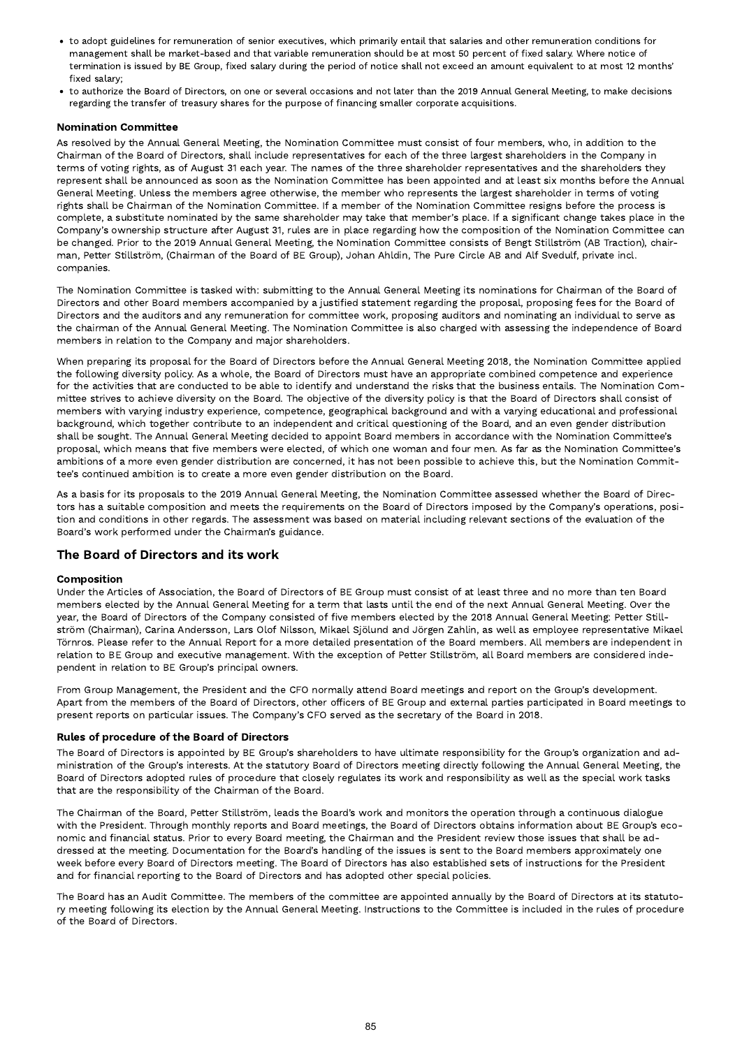- to adopt guidelines for remuneration of senior executives, which primarily entail that salaries and other remuneration conditions for management shall be market-based and that variable remuneration should be at most 50 percent of fixed salary. Where notice of termination is issued by BE Group, fixed salary during the period of notice shall not exceed an amount equivalent to at most 12 months' fixed salary;
- to authorize the Board of Directors, on one or several occasions and not later than the 2019 Annual General Meeting, to make decisions regarding the transfer of treasury shares for the purpose of financing smaller corporate acquisitions.

# **Nomination Committee**

As resolved by the Annual General Meeting, the Nomination Committee must consist of four members, who, in addition to the Chairman of the Board of Directors, shall include representatives for each of the three largest shareholders in the Company in terms of voting rights, as of August 31 each year. The names of the three shareholder representatives and the shareholders they represent shall be announced as soon as the Nomination Committee has been appointed and at least six months before the Annual General Meeting. Unless the members agree otherwise, the member who represents the largest shareholder in terms of voting rights shall be Chairman of the Nomination Committee. If a member of the Nomination Committee resigns before the process is complete, a substitute nominated by the same shareholder may take that member's place. If a significant change takes place in the Company's ownership structure after August 31, rules are in place regarding how the composition of the Nomination Committee can be changed. Prior to the 2019 Annual General Meeting, the Nomination Committee consists of Bengt Stillström (AB Traction), chair man, Petter Stillström, (Chairman of the Board of BE Group), Johan Ahldin, The Pure Circle AB and Alf Svedulf, private incl. companies.

The Nomination Committee is tasked with: submitting to the Annual General Meeting its nominations for Chairman of the Board of Directors and other Board members accompanied by a justified statement regarding the proposal, proposing fees for the Board of Directors and the auditors and any remuneration for committee work, proposing auditors and nominating an individual to serve as the chairman of the Annual General Meeting. The Nomination Committee is also charged with assessing the independence of Board members in relation to the Company and major shareholders.

When preparing its proposal for the Board of Directors before the Annual General Meeting 2018, the Nomination Committee applied the following diversity policy. As a whole, the Board of Directors must have an appropriate combined competence and experience for the activities that are conducted to be able to identify and understand the risks that the business entails. The Nomination Com mittee strives to achieve diversity on the Board. The objective of the diversity policy is that the Board of Directors shall consist of members with varying industry experience, competence, geographical background and with a varying educational and professional background, which together contribute to an independent and critical questioning of the Board, and an even gender distribution shall be sought. The Annual General Meeting decided to appoint Board members in accordance with the Nomination Committee's proposal, which means that five members were elected, of which one woman and four men. As far as the Nomination Committee's ambitions of a more even gender distribution are concerned, it has not been possible to achieve this, but the Nomination Committee's continued ambition is to create a more even gender distribution on the Board.

As a basis for its proposals to the 2019 Annual General Meeting, the Nomination Committee assessed whether the Board of Directors has a suitable composition and meets the requirements on the Board of Directors imposed by the Company's operations, position and conditions in other regards. The assessment was based on material including relevant sections of the evaluation of the Board's work performed under the Chairman's guidance.

# The Board of Directors and its work

#### Composition

Under the Articles of Association, the Board of Directors of BE Group must consist of at least three and no more than ten Board members elected by the Annual General Meeting for a term that lasts until the end of the next Annual General Meeting. Over the year, the Board of Directors of the Company consisted of five members elected by the 2018 Annual General Meeting: Petter Stillström (Chairman), Carina Andersson, Lars Olof Nilsson, Mikael Sjölund and Jörgen Zahlin, as well as employee representative Mikael Törnros. Please refer to the Annual Report for a more detailed presentation of the Board members. All members are independent in relation to BE Group and executive management. With the exception of Petter Stillström, all Board members are considered independent in relation to BE Group's principal owners.

From Group Management, the President and the CFO normally attend Board meetings and report on the Group's development. Apart from the members of the Board of Directors, other officers of BE Group and external parties participated in Board meetings to present reports on particular issues. The Company's CFO served as the secretary of the Board in 2018.

#### Rules of procedure of the Board of Directors

The Board of Directors is appointed by BE Group's shareholders to have ultimate responsibility for the Group's organization and ad ministration of the Group's interests. At the statutory Board of Directors meeting directly following the Annual General Meeting, the Board of Directors adopted rules of procedure that closely regulates its work and responsibility as well as the special work tasks that are the responsibility of the Chairman of the Board.

The Chairman of the Board, Petter Stillström, leads the Board's work and monitors the operation through a continuous dialogue with the President. Through monthly reports and Board meetings, the Board of Directors obtains information about BE Group's economic and financial status. Prior to every Board meeting, the Chairman and the President review those issues that shall be addressed at the meeting. Documentation for the Board's handling of the issues is sent to the Board members approximately one week before every Board of Directors meeting. The Board of Directors has also established sets of instructions for the President and for financial reporting to the Board of Directors and has adopted other special policies.

The Board has an Audit Committee. The members of the committee are appointed annually by the Board of Directors at its statutory meeting following its election by the Annual General Meeting. Instructions to the Committee is included in the rules of procedure of the Board of Directors.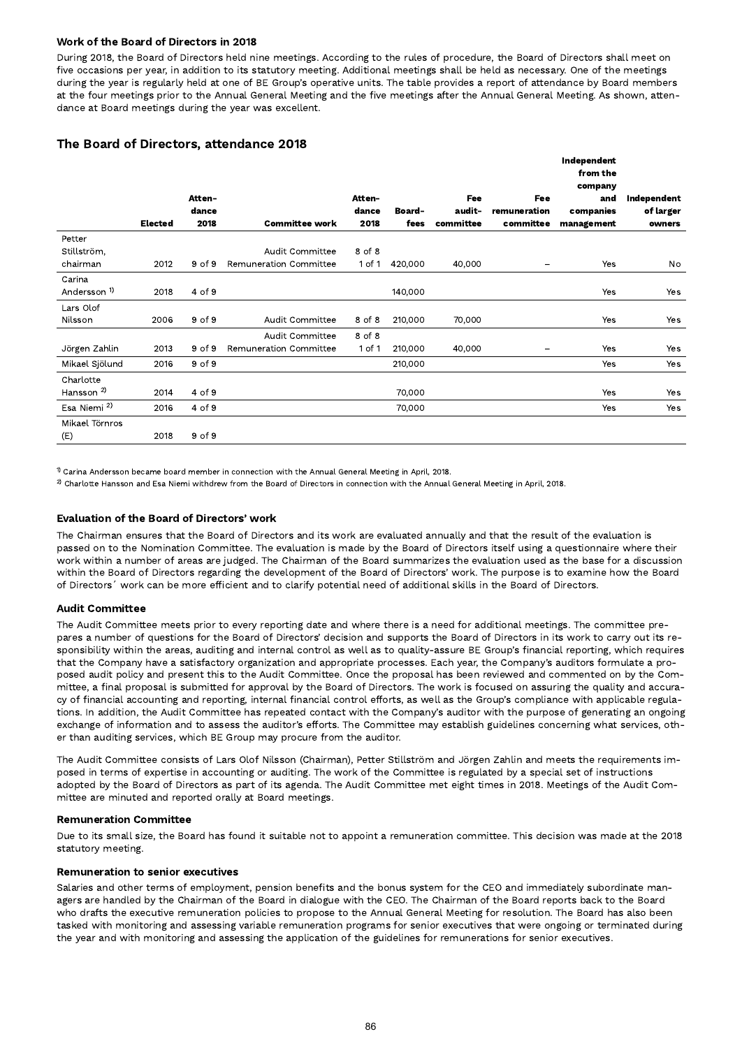# Work of the Board of Directors in 2018

During 2018, the Board of Directors held nine meetings. According to the rules of procedure, the Board of Directors shall meet on five occasions per year, in addition to its statutory meeting. Additional meetings shall be held as necessary. One of the meetings during the year is regularly held at one of BE Group's operative units. The table provides a report of attendance by Board members at the four meetings prior to the Annual General Meeting and the five meetings after the Annual General Meeting. As shown, attendance at Board meetings during the year was excellent.

# The Board of Directors, attendance 2018

|                         |                |            |                        |               |               |           |              | Independent<br>from the<br>company |             |
|-------------------------|----------------|------------|------------------------|---------------|---------------|-----------|--------------|------------------------------------|-------------|
|                         |                | Atten-     |                        | <b>Atten-</b> |               | Fee       | Fee          | and                                | Independent |
|                         |                | dance      |                        | dance         | <b>Board-</b> | audit-    | remuneration | companies                          | of larger   |
|                         | <b>Elected</b> | 2018       | <b>Committee work</b>  | 2018          | fees          | committee | committee    | management                         | owners      |
| Petter                  |                |            |                        |               |               |           |              |                                    |             |
| Stillström,             |                |            | Audit Committee        | 8 of 8        |               |           |              |                                    |             |
| chairman                | 2012           | $9$ of $9$ | Remuneration Committee | 1 of 1        | 420,000       | 40,000    | -            | Yes                                | No          |
| Carina                  |                |            |                        |               |               |           |              |                                    |             |
| Andersson <sup>1)</sup> | 2018           | 4 of 9     |                        |               | 140,000       |           |              | Yes                                | Yes         |
| Lars Olof               |                |            |                        |               |               |           |              |                                    |             |
| Nilsson                 | 2006           | 9 of 9     | Audit Committee        | 8 of 8        | 210,000       | 70,000    |              | Yes                                | Yes         |
|                         |                |            | Audit Committee        | 8 of 8        |               |           |              |                                    |             |
| Jörgen Zahlin           | 2013           | 9 of 9     | Remuneration Committee | $1$ of $1$    | 210,000       | 40,000    |              | Yes                                | Yes         |
| Mikael Sjölund          | 2016           | 9 of 9     |                        |               | 210,000       |           |              | Yes                                | Yes         |
| Charlotte               |                |            |                        |               |               |           |              |                                    |             |
| Hansson <sup>2)</sup>   | 2014           | 4 of 9     |                        |               | 70,000        |           |              | Yes                                | Yes         |
| Esa Niemi <sup>2)</sup> | 2016           | 4 of 9     |                        |               | 70,000        |           |              | Yes                                | Yes         |
| Mikael Törnros          |                |            |                        |               |               |           |              |                                    |             |
| (E)                     | 2018           | 9 of 9     |                        |               |               |           |              |                                    |             |

 $^{\text{1)}$  Carina Andersson became board member in connection with the Annual General Meeting in April, 2018.

 $^{2)}$  Charlotte Hansson and Esa Niemi withdrew from the Board of Directors in connection with the Annual General Meeting in April, 2018.

# Evaluation of the Board of Directors' work

The Chairman ensures that the Board of Directors and its work are evaluated annually and that the result of the evaluation is passed on to the Nomination Committee. The evaluation is made by the Board of Directors itself using a questionnaire where their work within a number of areas are judged. The Chairman of the Board summarizes the evaluation used as the base for a discussion within the Board of Directors regarding the development of the Board of Directors' work. The purpose is to examine how the Board of Directors´ work can be more efficient and to clarify potential need of additional skills in the Board of Directors.

#### **Audit Committee**

The Audit Committee meets prior to every reporting date and where there is a need for additional meetings. The committee prepares a number of questions for the Board of Directors' decision and supports the Board of Directors in its work to carry out its responsibility within the areas, auditing and internal control as well as to quality-assure BE Group's financial reporting, which requires that the Company have a satisfactory organization and appropriate processes. Each year, the Company's auditors formulate a proposed audit policy and present this to the Audit Committee. Once the proposal has been reviewed and commented on by the Com mittee, a final proposal is submitted for approval by the Board of Directors. The work is focused on assuring the quality and accuracy of financial accounting and reporting, internal financial control efforts, as well as the Group's compliance with applicable regulations. In addition, the Audit Committee has repeated contact with the Company's auditor with the purpose of generating an ongoing exchange of information and to assess the auditor's efforts. The Committee may establish guidelines concerning what services, other than auditing services, which BE Group may procure from the auditor.

The Audit Committee consists of Lars Olof Nilsson (Chairman), Petter Stillström and Jörgen Zahlin and meets the requirements imposed in terms of expertise in accounting or auditing. The work of the Committee is regulated by a special set of instructions adopted by the Board of Directors as part of its agenda. The Audit Committee met eight times in 2018. Meetings of the Audit Com mittee are minuted and reported orally at Board meetings.

#### **Remuneration Committee**

Due to its small size, the Board has found it suitable not to appoint a remuneration committee. This decision was made at the 2018 statutory meeting.

#### Remuneration to senior executives

Salaries and other terms of employment, pension benefits and the bonus system for the CEO and immediately subordinate managers are handled by the Chairman of the Board in dialogue with the CEO. The Chairman of the Board reports back to the Board who drafts the executive remuneration policies to propose to the Annual General Meeting for resolution. The Board has also been tasked with monitoring and assessing variable remuneration programs for senior executives that were ongoing or terminated during the year and with monitoring and assessing the application of the guidelines for remunerations for senior executives.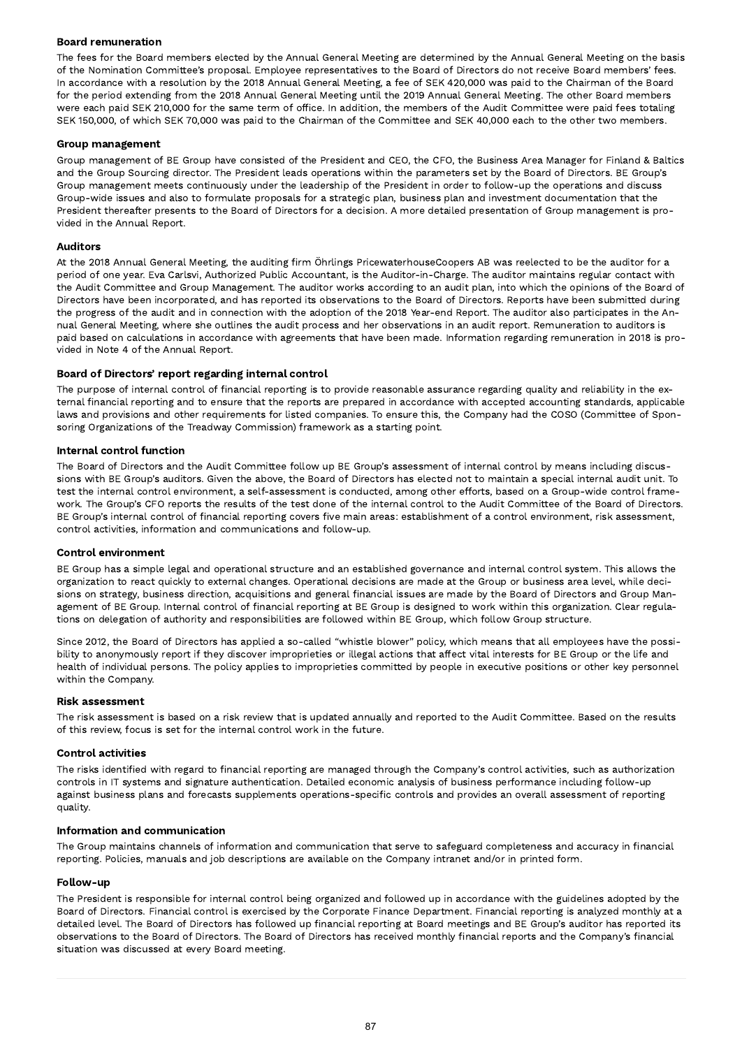# Board remuneration

The fees for the Board members elected by the Annual General Meeting are determined by the Annual General Meeting on the basis of the Nomination Committee's proposal. Employee representatives to the Board of Directors do not receive Board members' fees. In accordance with a resolution by the 2018 Annual General Meeting, a fee of SEK 420,000 was paid to the Chairman of the Board for the period extending from the 2018 Annual General Meeting until the 2019 Annual General Meeting. The other Board members were each paid SEK 210,000 for the same term of office. In addition, the members of the Audit Committee were paid fees totaling SEK 150,000, of which SEK 70,000 was paid to the Chairman of the Committee and SEK 40,000 each to the other two members.

#### Group management

Group management of BE Group have consisted of the President and CEO, the CFO, the Business Area Manager for Finland & Baltics and the Group Sourcing director. The President leads operations within the parameters set by the Board of Directors. BE Group's Group management meets continuously under the leadership of the President in order to follow-up the operations and discuss Group-wide issues and also to formulate proposals for a strategic plan, business plan and investment documentation that the President thereafter presents to the Board of Directors for a decision. A more detailed presentation of Group management is provided in the Annual Report.

#### Auditors

At the 2018 Annual General Meeting, the auditing firm Öhrlings PricewaterhouseCoopers AB was reelected to be the auditor for a period of one year. Eva Carlsvi, Authorized Public Accountant, is the Auditor-in-Charge. The auditor maintains regular contact with the Audit Committee and Group Management. The auditor works according to an audit plan, into which the opinions of the Board of Directors have been incorporated, and has reported its observations to the Board of Directors. Reports have been submitted during the progress of the audit and in connection with the adoption of the 2018 Year-end Report. The auditor also participates in the Annual General Meeting, where she outlines the audit process and her observations in an audit report. Remuneration to auditors is paid based on calculations in accordance with agreements that have been made. Information regarding remuneration in 2018 is provided in Note 4 of the Annual Report.

#### Board of Directors' report regarding internal control

The purpose of internal control of financial reporting is to provide reasonable assurance regarding quality and reliability in the external financial reporting and to ensure that the reports are prepared in accordance with accepted accounting standards, applicable laws and provisions and other requirements for listed companies. To ensure this, the Company had the COSO (Committee of Sponsoring Organizations of the Treadway Commission) framework as a starting point.

#### Internal control function

The Board of Directors and the Audit Committee follow up BE Group's assessment of internal control by means including discussions with BE Group's auditors. Given the above, the Board of Directors has elected not to maintain a special internal audit unit. To test the internal control environment, a self-assessment is conducted, among other efforts, based on a Group-wide control frame work. The Group's CFO reports the results of the test done of the internal control to the Audit Committee of the Board of Directors. BE Group's internal control of financial reporting covers five main areas: establishment of a control environment, risk assessment, control activities, information and communications and follow-up.

#### Control environment

BE Group has a simple legal and operational structure and an established governance and internal control system. This allows the organization to react quickly to external changes. Operational decisions are made at the Group or business area level, while decisions on strategy, business direction, acquisitions and general financial issues are made by the Board of Directors and Group Management of BE Group. Internal control of financial reporting at BE Group is designed to work within this organization. Clear regulations on delegation of authority and responsibilities are followed within BE Group, which follow Group structure.

Since 2012, the Board of Directors has applied a so-called "whistle blower" policy, which means that all employees have the possibility to anonymously report if they discover improprieties or illegal actions that affect vital interests for BE Group or the life and health of individual persons. The policy applies to improprieties committed by people in executive positions or other key personnel within the Company.

#### Risk assessment

The risk assessment is based on a risk review that is updated annually and reported to the Audit Committee. Based on the results of this review, focus is set for the internal control work in the future.

#### Control activities

The risks identified with regard to financial reporting are managed through the Company's control activities, such as authorization controls in IT systems and signature authentication. Detailed economic analysis of business performance including follow-up against business plans and forecasts supplements operations-specific controls and provides an overall assessment of reporting quality.

#### Information and communication

The Group maintains channels of information and communication that serve to safeguard completeness and accuracy in financial reporting. Policies, manuals and job descriptions are available on the Company intranet and/or in printed form.

#### Follow-up

The President is responsible for internal control being organized and followed up in accordance with the guidelines adopted by the Board of Directors. Financial control is exercised by the Corporate Finance Department. Financial reporting is analyzed monthly at a detailed level. The Board of Directors has followed up financial reporting at Board meetings and BE Group's auditor has reported its observations to the Board of Directors. The Board of Directors has received monthly financial reports and the Company's financial situation was discussed at every Board meeting.